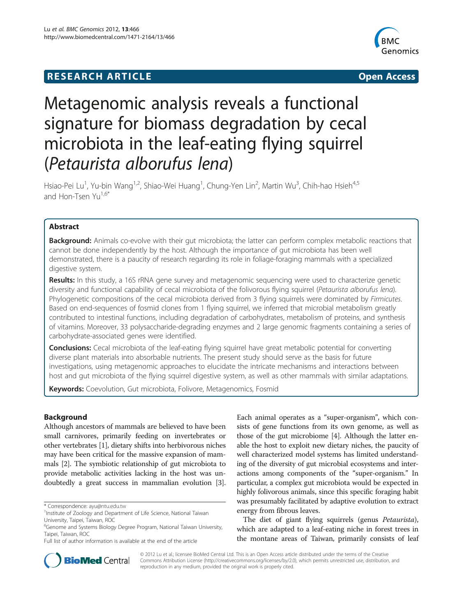# **RESEARCH ARTICLE Example 2014 12:30 The SEAR CH ACCESS**



# Metagenomic analysis reveals a functional signature for biomass degradation by cecal microbiota in the leaf-eating flying squirrel (Petaurista alborufus lena)

Hsiao-Pei Lu<sup>1</sup>, Yu-bin Wang<sup>1,2</sup>, Shiao-Wei Huang<sup>1</sup>, Chung-Yen Lin<sup>2</sup>, Martin Wu<sup>3</sup>, Chih-hao Hsieh<sup>4,5</sup> and Hon-Tsen Yu<sup>1,6</sup>

# Abstract

Background: Animals co-evolve with their gut microbiota; the latter can perform complex metabolic reactions that cannot be done independently by the host. Although the importance of gut microbiota has been well demonstrated, there is a paucity of research regarding its role in foliage-foraging mammals with a specialized digestive system.

Results: In this study, a 16S rRNA gene survey and metagenomic sequencing were used to characterize genetic diversity and functional capability of cecal microbiota of the folivorous flying squirrel (Petaurista alborufus lena). Phylogenetic compositions of the cecal microbiota derived from 3 flying squirrels were dominated by Firmicutes. Based on end-sequences of fosmid clones from 1 flying squirrel, we inferred that microbial metabolism greatly contributed to intestinal functions, including degradation of carbohydrates, metabolism of proteins, and synthesis of vitamins. Moreover, 33 polysaccharide-degrading enzymes and 2 large genomic fragments containing a series of carbohydrate-associated genes were identified.

**Conclusions:** Cecal microbiota of the leaf-eating flying squirrel have great metabolic potential for converting diverse plant materials into absorbable nutrients. The present study should serve as the basis for future investigations, using metagenomic approaches to elucidate the intricate mechanisms and interactions between host and gut microbiota of the flying squirrel digestive system, as well as other mammals with similar adaptations.

Keywords: Coevolution, Gut microbiota, Folivore, Metagenomics, Fosmid

# Background

Although ancestors of mammals are believed to have been small carnivores, primarily feeding on invertebrates or other vertebrates [\[1](#page-10-0)], dietary shifts into herbivorous niches may have been critical for the massive expansion of mammals [\[2\]](#page-10-0). The symbiotic relationship of gut microbiota to provide metabolic activities lacking in the host was undoubtedly a great success in mammalian evolution [[3](#page-10-0)].

\* Correspondence: [ayu@ntu.edu.tw](mailto:ayu@ntu.edu.tw) <sup>1</sup>

Each animal operates as a "super-organism", which consists of gene functions from its own genome, as well as those of the gut microbiome [\[4](#page-10-0)]. Although the latter enable the host to exploit new dietary niches, the paucity of well characterized model systems has limited understanding of the diversity of gut microbial ecosystems and interactions among components of the "super-organism." In particular, a complex gut microbiota would be expected in highly folivorous animals, since this specific foraging habit was presumably facilitated by adaptive evolution to extract energy from fibrous leaves.

The diet of giant flying squirrels (genus Petaurista), which are adapted to a leaf-eating niche in forest trees in the montane areas of Taiwan, primarily consists of leaf



© 2012 Lu et al.; licensee BioMed Central Ltd. This is an Open Access article distributed under the terms of the Creative Commons Attribution License [\(http://creativecommons.org/licenses/by/2.0\)](http://creativecommons.org/licenses/by/2.0), which permits unrestricted use, distribution, and reproduction in any medium, provided the original work is properly cited.

<sup>&</sup>lt;sup>1</sup> Institute of Zoology and Department of Life Science, National Taiwan University, Taipei, Taiwan, ROC

<sup>&</sup>lt;sup>6</sup>Genome and Systems Biology Degree Program, National Taiwan University, Taipei, Taiwan, ROC

Full list of author information is available at the end of the article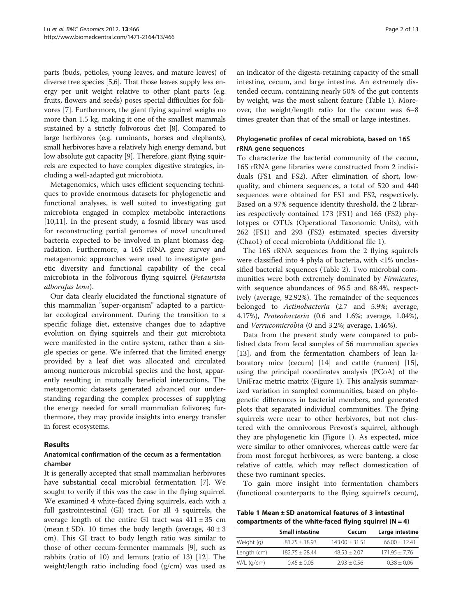parts (buds, petioles, young leaves, and mature leaves) of diverse tree species [[5,6](#page-10-0)]. That those leaves supply less energy per unit weight relative to other plant parts (e.g. fruits, flowers and seeds) poses special difficulties for folivores [[7\]](#page-10-0). Furthermore, the giant flying squirrel weighs no more than 1.5 kg, making it one of the smallest mammals sustained by a strictly folivorous diet [[8\]](#page-10-0). Compared to large herbivores (e.g. ruminants, horses and elephants), small herbivores have a relatively high energy demand, but low absolute gut capacity [\[9\]](#page-11-0). Therefore, giant flying squirrels are expected to have complex digestive strategies, including a well-adapted gut microbiota.

Metagenomics, which uses efficient sequencing techniques to provide enormous datasets for phylogenetic and functional analyses, is well suited to investigating gut microbiota engaged in complex metabolic interactions [[10,11\]](#page-11-0). In the present study, a fosmid library was used for reconstructing partial genomes of novel uncultured bacteria expected to be involved in plant biomass degradation. Furthermore, a 16S rRNA gene survey and metagenomic approaches were used to investigate genetic diversity and functional capability of the cecal microbiota in the folivorous flying squirrel (Petaurista alborufus lena).

Our data clearly elucidated the functional signature of this mammalian "super-organism" adapted to a particular ecological environment. During the transition to a specific foliage diet, extensive changes due to adaptive evolution on flying squirrels and their gut microbiota were manifested in the entire system, rather than a single species or gene. We inferred that the limited energy provided by a leaf diet was allocated and circulated among numerous microbial species and the host, apparently resulting in mutually beneficial interactions. The metagenomic datasets generated advanced our understanding regarding the complex processes of supplying the energy needed for small mammalian folivores; furthermore, they may provide insights into energy transfer in forest ecosystems.

# Results

# Anatomical confirmation of the cecum as a fermentation chamber

It is generally accepted that small mammalian herbivores have substantial cecal microbial fermentation [[7](#page-10-0)]. We sought to verify if this was the case in the flying squirrel. We examined 4 white-faced flying squirrels, each with a full gastrointestinal (GI) tract. For all 4 squirrels, the average length of the entire GI tract was  $411 \pm 35$  cm (mean  $\pm$  SD), 10 times the body length (average,  $40 \pm 3$ ) cm). This GI tract to body length ratio was similar to those of other cecum-fermenter mammals [\[9](#page-11-0)], such as rabbits (ratio of 10) and lemurs (ratio of 13) [[12\]](#page-11-0). The weight/length ratio including food (g/cm) was used as

an indicator of the digesta-retaining capacity of the small intestine, cecum, and large intestine. An extremely distended cecum, containing nearly 50% of the gut contents by weight, was the most salient feature (Table 1). Moreover, the weight/length ratio for the cecum was 6–8 times greater than that of the small or large intestines.

# Phylogenetic profiles of cecal microbiota, based on 16S rRNA gene sequences

To characterize the bacterial community of the cecum, 16S rRNA gene libraries were constructed from 2 individuals (FS1 and FS2). After elimination of short, lowquality, and chimera sequences, a total of 520 and 440 sequences were obtained for FS1 and FS2, respectively. Based on a 97% sequence identity threshold, the 2 libraries respectively contained 173 (FS1) and 165 (FS2) phylotypes or OTUs (Operational Taxonomic Units), with 262 (FS1) and 293 (FS2) estimated species diversity (Chao1) of cecal microbiota ([Additional file 1\)](#page-10-0).

The 16S rRNA sequences from the 2 flying squirrels were classified into 4 phyla of bacteria, with <1% unclassified bacterial sequences (Table [2](#page-2-0)). Two microbial communities were both extremely dominated by Firmicutes, with sequence abundances of 96.5 and 88.4%, respectively (average, 92.92%). The remainder of the sequences belonged to Actinobacteria (2.7 and 5.9%; average, 4.17%), Proteobacteria (0.6 and 1.6%; average, 1.04%), and Verrucomicrobia (0 and 3.2%; average, 1.46%).

Data from the present study were compared to published data from fecal samples of 56 mammalian species [[13\]](#page-11-0), and from the fermentation chambers of lean laboratory mice (cecum) [\[14\]](#page-11-0) and cattle (rumen) [\[15](#page-11-0)], using the principal coordinates analysis (PCoA) of the UniFrac metric matrix (Figure [1](#page-3-0)). This analysis summarized variation in sampled communities, based on phylogenetic differences in bacterial members, and generated plots that separated individual communities. The flying squirrels were near to other herbivores, but not clustered with the omnivorous Prevost's squirrel, although they are phylogenetic kin (Figure [1\)](#page-3-0). As expected, mice were similar to other omnivores, whereas cattle were far from most foregut herbivores, as were banteng, a close relative of cattle, which may reflect domestication of these two ruminant species.

To gain more insight into fermentation chambers (functional counterparts to the flying squirrel's cecum),

Table 1 Mean ± SD anatomical features of 3 intestinal compartments of the white-faced flying squirrel  $(N = 4)$ 

|              | <b>Small intestine</b> | Cecum            | Large intestine |
|--------------|------------------------|------------------|-----------------|
| Weight (g)   | $81.75 + 18.93$        | $143.00 + 31.51$ | $66.00 + 12.41$ |
| Length (cm)  | $182.75 + 28.44$       | $48.53 + 2.07$   | $171.95 + 7.76$ |
| $W/L$ (g/cm) | $0.45 + 0.08$          | $2.93 + 0.56$    | $0.38 \pm 0.06$ |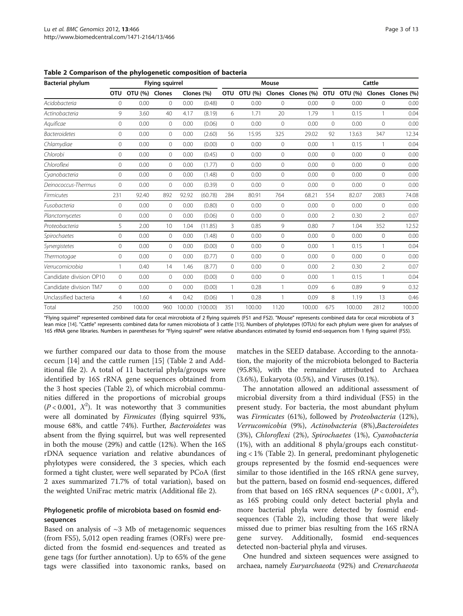| <b>Bacterial phylum</b> | <b>Flying squirrel</b> |                |                |        | Mouse      |                |                | Cattle         |                   |                |             |                |            |
|-------------------------|------------------------|----------------|----------------|--------|------------|----------------|----------------|----------------|-------------------|----------------|-------------|----------------|------------|
|                         | <b>OTU</b>             | OTU (%) Clones |                |        | Clones (%) | OTU            | <b>OTU</b> (%) |                | Clones Clones (%) |                | OTU OTU (%) | Clones         | Clones (%) |
| Acidobacteria           | $\circ$                | 0.00           | $\Omega$       | 0.00   | (0.48)     | $\mathbf{0}$   | 0.00           | $\mathbf 0$    | 0.00              | $\mathbf{0}$   | 0.00        | $\mathbf 0$    | 0.00       |
| Actinobacteria          | 9                      | 3.60           | 40             | 4.17   | (8.19)     | 6              | 1.71           | 20             | 1.79              | $\overline{1}$ | 0.15        | $\mathbf{1}$   | 0.04       |
| Aquificae               | $\Omega$               | 0.00           | $\Omega$       | 0.00   | (0.06)     | $\Omega$       | 0.00           | $\mathbf 0$    | 0.00              | $\Omega$       | 0.00        | $\mathbf 0$    | 0.00       |
| <b>Bacteroidetes</b>    | $\Omega$               | 0.00           | $\Omega$       | 0.00   | (2.60)     | 56             | 15.95          | 325            | 29.02             | 92             | 13.63       | 347            | 12.34      |
| Chlamydiae              | $\circ$                | 0.00           | $\circ$        | 0.00   | (0.00)     | $\mathbf{0}$   | 0.00           | $\overline{0}$ | 0.00              | $\overline{1}$ | 0.15        | $\overline{1}$ | 0.04       |
| Chlorobi                | $\Omega$               | 0.00           | $\Omega$       | 0.00   | (0.45)     | $\mathbf{0}$   | 0.00           | $\mathbf 0$    | 0.00              | $\mathbf 0$    | 0.00        | $\mathbf 0$    | 0.00       |
| Chloroflexi             | $\circ$                | 0.00           | $\circ$        | 0.00   | (1.77)     | $\circ$        | 0.00           | $\mathbf 0$    | 0.00              | $\circ$        | 0.00        | $\mathbf 0$    | 0.00       |
| Cyanobacteria           | $\circ$                | 0.00           | $\Omega$       | 0.00   | (1.48)     | $\Omega$       | 0.00           | $\mathbf 0$    | 0.00              | $\Omega$       | 0.00        | $\mathbf 0$    | 0.00       |
| Deinococcus-Thermus     | $\Omega$               | 0.00           | $\overline{0}$ | 0.00   | (0.39)     | $\Omega$       | 0.00           | $\mathbf 0$    | 0.00              | $\Omega$       | 0.00        | $\mathbf 0$    | 0.00       |
| Firmicutes              | 231                    | 92.40          | 892            | 92.92  | (60.78)    | 284            | 80.91          | 764            | 68.21             | 554            | 82.07       | 2083           | 74.08      |
| Fusobacteria            | $\mathbf{0}$           | 0.00           | $\circ$        | 0.00   | (0.80)     | $\circ$        | 0.00           | $\mathbf{0}$   | 0.00              | $\circ$        | 0.00        | $\mathbf{0}$   | 0.00       |
| Planctomycetes          | $\Omega$               | 0.00           | $\Omega$       | 0.00   | (0.06)     | $\Omega$       | 0.00           | $\mathbf 0$    | 0.00              | $\overline{2}$ | 0.30        | $\overline{2}$ | 0.07       |
| Proteobacteria          | 5                      | 2.00           | 10             | 1.04   | (11.85)    | $\overline{3}$ | 0.85           | 9              | 0.80              | $\overline{7}$ | 1.04        | 352            | 12.52      |
| Spirochaetes            | $\circ$                | 0.00           | $\circ$        | 0.00   | (1.48)     | $\circ$        | 0.00           | $\mathbf 0$    | 0.00              | $\mathbf 0$    | 0.00        | $\mathbf{0}$   | 0.00       |
| Synergistetes           | $\mathbf{0}$           | 0.00           | $\circ$        | 0.00   | (0.00)     | $\mathbf{0}$   | 0.00           | $\mathbf 0$    | 0.00              | $\overline{1}$ | 0.15        | $\mathbf{1}$   | 0.04       |
| Thermotogae             | $\Omega$               | 0.00           | $\Omega$       | 0.00   | (0.77)     | $\Omega$       | 0.00           | $\mathbf{0}$   | 0.00              | $\Omega$       | 0.00        | $\Omega$       | 0.00       |
| Verrucomicrobia         |                        | 0.40           | 14             | 1.46   | (8.77)     | $\mathbf{0}$   | 0.00           | $\mathbf 0$    | 0.00              | $\overline{2}$ | 0.30        | $\overline{2}$ | 0.07       |
| Candidate division OP10 | $\Omega$               | 0.00           | $\Omega$       | 0.00   | (0.00)     | $\mathbf{0}$   | 0.00           | $\mathbf 0$    | 0.00              | $\overline{1}$ | 0.15        | $\overline{1}$ | 0.04       |
| Candidate division TM7  | $\Omega$               | 0.00           | $\circ$        | 0.00   | (0.00)     | $\mathbf{1}$   | 0.28           | $\mathbf{1}$   | 0.09              | 6              | 0.89        | 9              | 0.32       |
| Unclassified bacteria   | $\overline{4}$         | 1.60           | 4              | 0.42   | (0.06)     | $\mathbf{1}$   | 0.28           | $\mathbf{1}$   | 0.09              | 8              | 1.19        | 13             | 0.46       |
| Total                   | 250                    | 100.00         | 960            | 100.00 | (100.00)   | 351            | 100.00         | 1120           | 100.00            | 675            | 100.00      | 2812           | 100.00     |

<span id="page-2-0"></span>Table 2 Comparison of the phylogenetic composition of bacteria

"Flying squirrel" represented combined data for cecal mircrobiota of 2 flying squirrels (FS1 and FS2). "Mouse" represents combined data for cecal microbiota of 3 lean mice [\[14](#page-11-0)]. "Cattle" represents combined data for rumen microbiota of 3 cattle [\[15\]](#page-11-0). Numbers of phylotypes (OTUs) for each phylum were given for analyses of 16S rRNA gene libraries. Numbers in parentheses for "Flying squirrel" were relative abundances estimated by fosmid end-sequences from 1 flying squirrel (FS5).

we further compared our data to those from the mouse cecum [[14\]](#page-11-0) and the cattle rumen [[15\]](#page-11-0) (Table 2 and [Add](#page-10-0)[itional file 2\)](#page-10-0). A total of 11 bacterial phyla/groups were identified by 16S rRNA gene sequences obtained from the 3 host species (Table 2), of which microbial communities differed in the proportions of microbial groups  $(P < 0.001, X^2)$ . It was noteworthy that 3 communities were all dominated by Firmicutes (flying squirrel 93%, mouse 68%, and cattle 74%). Further, Bacteroidetes was absent from the flying squirrel, but was well represented in both the mouse (29%) and cattle (12%). When the 16S rDNA sequence variation and relative abundances of phylotypes were considered, the 3 species, which each formed a tight cluster, were well separated by PCoA (first 2 axes summarized 71.7% of total variation), based on the weighted UniFrac metric matrix [\(Additional file 2](#page-10-0)).

# Phylogenetic profile of microbiota based on fosmid endsequences

Based on analysis of  $\sim$ 3 Mb of metagenomic sequences (from FS5), 5,012 open reading frames (ORFs) were predicted from the fosmid end-sequences and treated as gene tags (for further annotation). Up to 65% of the gene tags were classified into taxonomic ranks, based on

matches in the SEED database. According to the annotation, the majority of the microbiota belonged to Bacteria (95.8%), with the remainder attributed to Archaea (3.6%), Eukaryota (0.5%), and Viruses (0.1%).

The annotation allowed an additional assessment of microbial diversity from a third individual (FS5) in the present study. For bacteria, the most abundant phylum was Firmicutes (61%), followed by Proteobacteria (12%), Verrucomicobia (9%), Actinobacteria (8%),Bacteroidetes (3%), Chloroflexi (2%), Spirochaetes (1%), Cyanobacteria (1%), with an additional 8 phyla/groups each constituting < 1% (Table 2). In general, predominant phylogenetic groups represented by the fosmid end-sequences were similar to those identified in the 16S rRNA gene survey, but the pattern, based on fosmid end-sequences, differed from that based on 16S rRNA sequences  $(P < 0.001, X^2)$ , as 16S probing could only detect bacterial phyla and more bacterial phyla were detected by fosmid endsequences (Table 2), including those that were likely missed due to primer bias resulting from the 16S rRNA gene survey. Additionally, fosmid end-sequences detected non-bacterial phyla and viruses.

One hundred and sixteen sequences were assigned to archaea, namely Euryarchaeota (92%) and Crenarchaeota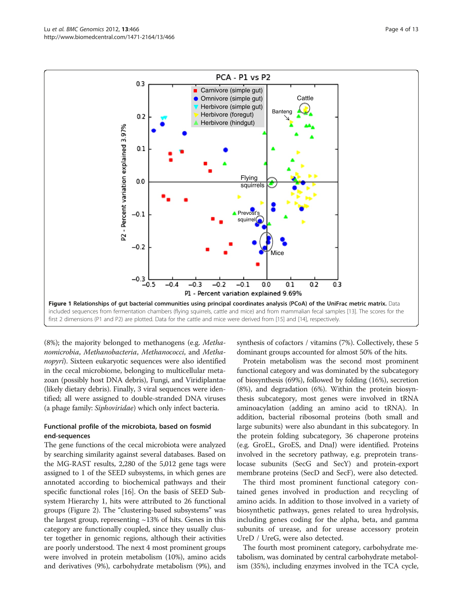(8%); the majority belonged to methanogens (e.g. Methanomicrobia, Methanobacteria, Methanococci, and Methanopyri). Sixteen eukaryotic sequences were also identified in the cecal microbiome, belonging to multicellular metazoan (possibly host DNA debris), Fungi, and Viridiplantae (likely dietary debris). Finally, 3 viral sequences were identified; all were assigned to double-stranded DNA viruses (a phage family: Siphoviridae) which only infect bacteria.

# Functional profile of the microbiota, based on fosmid end-sequences

The gene functions of the cecal microbiota were analyzed by searching similarity against several databases. Based on the MG-RAST results, 2,280 of the 5,012 gene tags were assigned to 1 of the SEED subsystems, in which genes are annotated according to biochemical pathways and their specific functional roles [[16](#page-11-0)]. On the basis of SEED Subsystem Hierarchy 1, hits were attributed to 26 functional groups (Figure [2](#page-4-0)). The "clustering-based subsystems" was the largest group, representing  $\sim$ 13% of hits. Genes in this category are functionally coupled, since they usually cluster together in genomic regions, although their activities are poorly understood. The next 4 most prominent groups were involved in protein metabolism (10%), amino acids and derivatives (9%), carbohydrate metabolism (9%), and synthesis of cofactors / vitamins (7%). Collectively, these 5 dominant groups accounted for almost 50% of the hits.

Protein metabolism was the second most prominent functional category and was dominated by the subcategory of biosynthesis (69%), followed by folding (16%), secretion (8%), and degradation (6%). Within the protein biosynthesis subcategory, most genes were involved in tRNA aminoacylation (adding an amino acid to tRNA). In addition, bacterial ribosomal proteins (both small and large subunits) were also abundant in this subcategory. In the protein folding subcategory, 36 chaperone proteins (e.g. GroEL, GroES, and DnaJ) were identified. Proteins involved in the secretory pathway, e.g. preprotein translocase subunits (SecG and SecY) and protein-export membrane proteins (SecD and SecF), were also detected.

The third most prominent functional category contained genes involved in production and recycling of amino acids. In addition to those involved in a variety of biosynthetic pathways, genes related to urea hydrolysis, including genes coding for the alpha, beta, and gamma subunits of urease, and for urease accessory protein UreD / UreG, were also detected.

The fourth most prominent category, carbohydrate metabolism, was dominated by central carbohydrate metabolism (35%), including enzymes involved in the TCA cycle,

<span id="page-3-0"></span>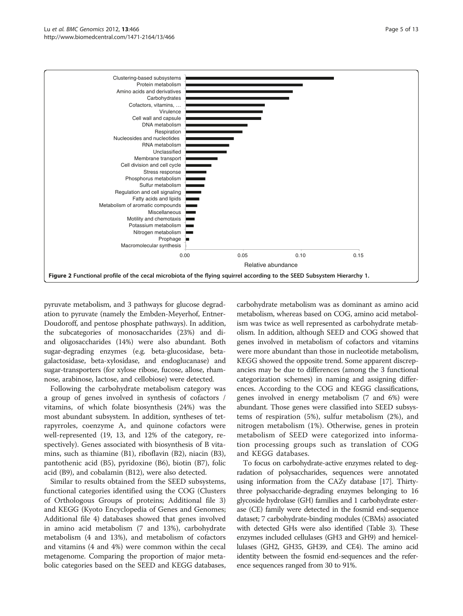<span id="page-4-0"></span>

pyruvate metabolism, and 3 pathways for glucose degradation to pyruvate (namely the Embden-Meyerhof, Entner-Doudoroff, and pentose phosphate pathways). In addition, the subcategories of monosaccharides (23%) and diand oligosaccharides (14%) were also abundant. Both sugar-degrading enzymes (e.g. beta-glucosidase, betagalactosidase, beta-xylosidase, and endoglucanase) and sugar-transporters (for xylose ribose, fucose, allose, rhamnose, arabinose, lactose, and cellobiose) were detected.

Following the carbohydrate metabolism category was a group of genes involved in synthesis of cofactors / vitamins, of which folate biosynthesis (24%) was the most abundant subsystem. In addition, syntheses of tetrapyrroles, coenzyme A, and quinone cofactors were well-represented (19, 13, and 12% of the category, respectively). Genes associated with biosynthesis of B vitamins, such as thiamine (B1), riboflavin (B2), niacin (B3), pantothenic acid (B5), pyridoxine (B6), biotin (B7), folic acid (B9), and cobalamin (B12), were also detected.

Similar to results obtained from the SEED subsystems, functional categories identified using the COG (Clusters of Orthologous Groups of proteins; [Additional file 3](#page-10-0)) and KEGG (Kyoto Encyclopedia of Genes and Genomes; [Additional file 4](#page-10-0)) databases showed that genes involved in amino acid metabolism (7 and 13%), carbohydrate metabolism (4 and 13%), and metabolism of cofactors and vitamins (4 and 4%) were common within the cecal metagenome. Comparing the proportion of major metabolic categories based on the SEED and KEGG databases,

carbohydrate metabolism was as dominant as amino acid metabolism, whereas based on COG, amino acid metabolism was twice as well represented as carbohydrate metabolism. In addition, although SEED and COG showed that genes involved in metabolism of cofactors and vitamins were more abundant than those in nucleotide metabolism, KEGG showed the opposite trend. Some apparent discrepancies may be due to differences (among the 3 functional categorization schemes) in naming and assigning differences. According to the COG and KEGG classifications, genes involved in energy metabolism (7 and 6%) were abundant. Those genes were classified into SEED subsystems of respiration (5%), sulfur metabolism (2%), and nitrogen metabolism (1%). Otherwise, genes in protein metabolism of SEED were categorized into information processing groups such as translation of COG and KEGG databases.

To focus on carbohydrate-active enzymes related to degradation of polysaccharides, sequences were annotated using information from the CAZy database [[17\]](#page-11-0). Thirtythree polysaccharide-degrading enzymes belonging to 16 glycoside hydrolase (GH) families and 1 carbohydrate esterase (CE) family were detected in the fosmid end-sequence dataset; 7 carbohydrate-binding modules (CBMs) associated with detected GHs were also identified (Table [3](#page-5-0)). These enzymes included cellulases (GH3 and GH9) and hemicellulases (GH2, GH35, GH39, and CE4). The amino acid identity between the fosmid end-sequences and the reference sequences ranged from 30 to 91%.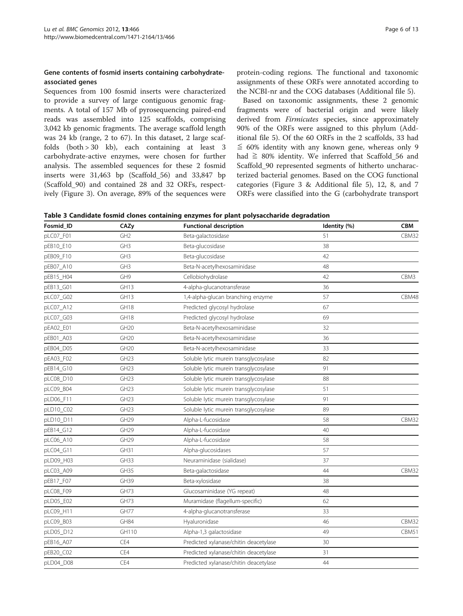# <span id="page-5-0"></span>Gene contents of fosmid inserts containing carbohydrateassociated genes

Sequences from 100 fosmid inserts were characterized to provide a survey of large contiguous genomic fragments. A total of 157 Mb of pyrosequencing paired-end reads was assembled into 125 scaffolds, comprising 3,042 kb genomic fragments. The average scaffold length was 24 kb (range, 2 to 67). In this dataset, 2 large scaffolds (both > 30 kb), each containing at least 3 carbohydrate-active enzymes, were chosen for further analysis. The assembled sequences for these 2 fosmid inserts were 31,463 bp (Scaffold\_56) and 33,847 bp (Scaffold\_90) and contained 28 and 32 ORFs, respectively (Figure [3](#page-6-0)). On average, 89% of the sequences were

protein-coding regions. The functional and taxonomic assignments of these ORFs were annotated according to the NCBI-nr and the COG databases ([Additional file 5](#page-10-0)).

Based on taxonomic assignments, these 2 genomic fragments were of bacterial origin and were likely derived from Firmicutes species, since approximately 90% of the ORFs were assigned to this phylum ([Add](#page-10-0)[itional file 5\)](#page-10-0). Of the 60 ORFs in the 2 scaffolds, 33 had  $\leq$  60% identity with any known gene, whereas only 9 had ≧ 80% identity. We inferred that Scaffold\_56 and Scaffold\_90 represented segments of hitherto uncharacterized bacterial genomes. Based on the COG functional categories (Figure [3](#page-6-0) & [Additional file 5](#page-10-0)), 12, 8, and 7 ORFs were classified into the G (carbohydrate transport

Table 3 Candidate fosmid clones containing enzymes for plant polysaccharide degradation

| Fosmid_ID | CAZy             | <b>Functional description</b>         | Identity (%) | <b>CBM</b> |
|-----------|------------------|---------------------------------------|--------------|------------|
| pLC07_F01 | GH <sub>2</sub>  | Beta-galactosidase                    | 51           | CBM32      |
| pEB10_E10 | GH3              | Beta-glucosidase                      | 38           |            |
| pEB09_F10 | GH3              | Beta-glucosidase                      | 42           |            |
| pEB07_A10 | GH3              | Beta-N-acetylhexosaminidase           | 48           |            |
| pEB15_H04 | GH9              | Cellobiohydrolase                     | 42           | CBM3       |
| pEB13_G01 | GH <sub>13</sub> | 4-alpha-glucanotransferase            | 36           |            |
| pLC07_G02 | GH <sub>13</sub> | 1,4-alpha-glucan branching enzyme     | 57           | CBM48      |
| pLC07_A12 | GH18             | Predicted glycosyl hydrolase          | 67           |            |
| pLC07_G03 | GH <sub>18</sub> | Predicted glycosyl hydrolase          | 69           |            |
| pEA02_E01 | GH <sub>20</sub> | Beta-N-acetylhexosaminidase           | 32           |            |
| pEB01_A03 | GH <sub>20</sub> | Beta-N-acetylhexosaminidase           | 36           |            |
| pEB04_D05 | GH <sub>20</sub> | Beta-N-acetylhexosaminidase           | 33           |            |
| pEA03_F02 | GH <sub>23</sub> | Soluble lytic murein transglycosylase | 82           |            |
| pEB14_G10 | GH <sub>23</sub> | Soluble lytic murein transglycosylase | 91           |            |
| pLC08_D10 | GH <sub>23</sub> | Soluble lytic murein transglycosylase | 88           |            |
| pLC09_B04 | GH <sub>23</sub> | Soluble lytic murein transglycosylase | 51           |            |
| pLD06_F11 | GH <sub>23</sub> | Soluble lytic murein transglycosylase | 91           |            |
| pLD10_C02 | GH <sub>23</sub> | Soluble lytic murein transglycosylase | 89           |            |
| pLD10_D11 | GH <sub>29</sub> | Alpha-L-fucosidase                    | 58           | CBM32      |
| pEB14_G12 | GH29             | Alpha-L-fucosidase                    | 40           |            |
| pLC06_A10 | GH <sub>29</sub> | Alpha-L-fucosidase                    | 58           |            |
| pLC04_G11 | GH31             | Alpha-glucosidases                    | 57           |            |
| pLD09_H03 | GH33             | Neuraminidase (sialidase)             | 37           |            |
| pLC03_A09 | GH35             | Beta-galactosidase                    | 44           | CBM32      |
| pEB17_F07 | GH39             | Beta-xylosidase                       | 38           |            |
| pLC08_F09 | GH73             | Glucosaminidase (YG repeat)           | 48           |            |
| pLD05_E02 | GH73             | Muramidase (flagellum-specific)       | 62           |            |
| pLC09_H11 | GH77             | 4-alpha-glucanotransferase            | 33           |            |
| pLC09_B03 | GH84             | Hyaluronidase                         | 46           | CBM32      |
| pLD05_D12 | GH110            | Alpha-1,3 galactosidase               | 49           | CBM51      |
| pEB16_A07 | CE4              | Predicted xylanase/chitin deacetylase | 30           |            |
| pEB20_C02 | CE4              | Predicted xylanase/chitin deacetylase | 31           |            |
| pLD04_D08 | CE4              | Predicted xylanase/chitin deacetylase | 44           |            |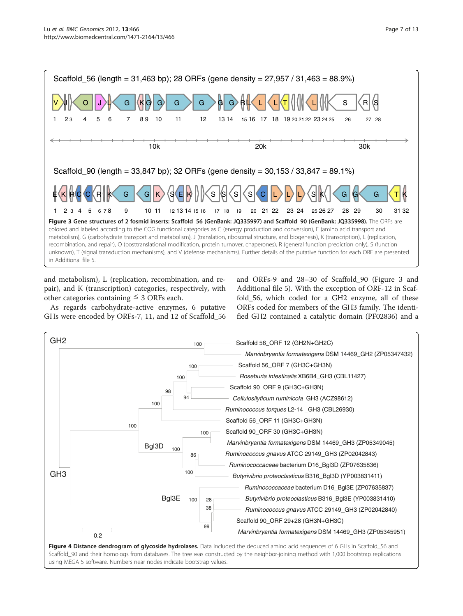<span id="page-6-0"></span>

and metabolism), L (replication, recombination, and repair), and K (transcription) categories, respectively, with other categories containing  $\leq$  3 ORFs each.

As regards carbohydrate-active enzymes, 6 putative GHs were encoded by ORFs-7, 11, and 12 of Scaffold\_56 and ORFs-9 and 28–30 of Scaffold\_90 (Figure 3 and [Additional file 5](#page-10-0)). With the exception of ORF-12 in Scaffold\_56, which coded for a GH2 enzyme, all of these ORFs coded for members of the GH3 family. The identified GH2 contained a catalytic domain (PF02836) and a

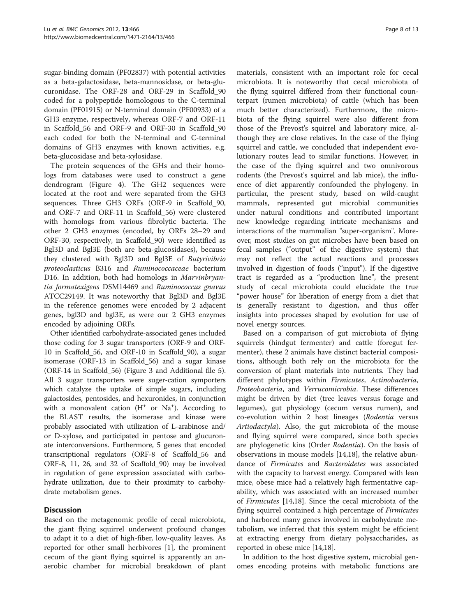sugar-binding domain (PF02837) with potential activities as a beta-galactosidase, beta-mannosidase, or beta-glucuronidase. The ORF-28 and ORF-29 in Scaffold\_90 coded for a polypeptide homologous to the C-terminal domain (PF01915) or N-terminal domain (PF00933) of a GH3 enzyme, respectively, whereas ORF-7 and ORF-11 in Scaffold 56 and ORF-9 and ORF-30 in Scaffold 90 each coded for both the N-terminal and C-terminal domains of GH3 enzymes with known activities, e.g. beta-glucosidase and beta-xylosidase.

The protein sequences of the GHs and their homologs from databases were used to construct a gene dendrogram (Figure [4\)](#page-6-0). The GH2 sequences were located at the root and were separated from the GH3 sequences. Three GH3 ORFs (ORF-9 in Scaffold\_90, and ORF-7 and ORF-11 in Scaffold\_56) were clustered with homologs from various fibrolytic bacteria. The other 2 GH3 enzymes (encoded, by ORFs 28–29 and ORF-30, respectively, in Scaffold\_90) were identified as Bgl3D and Bgl3E (both are beta-glucosidases), because they clustered with Bgl3D and Bgl3E of Butyrivibrio proteoclasticus B316 and Ruminococcaceae bacterium D16. In addition, both had homologs in Marvinbryantia formatexigens DSM14469 and Ruminococcus gnavus ATCC29149. It was noteworthy that Bgl3D and Bgl3E in the reference genomes were encoded by 2 adjacent genes, bgl3D and bgl3E, as were our 2 GH3 enzymes encoded by adjoining ORFs.

Other identified carbohydrate-associated genes included those coding for 3 sugar transporters (ORF-9 and ORF-10 in Scaffold\_56, and ORF-10 in Scaffold\_90), a sugar isomerase (ORF-13 in Scaffold\_56) and a sugar kinase (ORF-14 in Scaffold\_56) (Figure [3](#page-6-0) and [Additional file 5](#page-10-0)). All 3 sugar transporters were suger-cation symporters which catalyze the uptake of simple sugars, including galactosides, pentosides, and hexuronides, in conjunction with a monovalent cation  $(H<sup>+</sup>$  or Na<sup>+</sup>). According to the BLAST results, the isomerase and kinase were probably associated with utilization of L-arabinose and/ or D-xylose, and participated in pentose and glucuronate interconversions. Furthermore, 5 genes that encoded transcriptional regulators (ORF-8 of Scaffold\_56 and ORF-8, 11, 26, and 32 of Scaffold\_90) may be involved in regulation of gene expression associated with carbohydrate utilization, due to their proximity to carbohydrate metabolism genes.

# **Discussion**

Based on the metagenomic profile of cecal microbiota, the giant flying squirrel underwent profound changes to adapt it to a diet of high-fiber, low-quality leaves. As reported for other small herbivores [\[1\]](#page-10-0), the prominent cecum of the giant flying squirrel is apparently an anaerobic chamber for microbial breakdown of plant

materials, consistent with an important role for cecal microbiota. It is noteworthy that cecal microbiota of the flying squirrel differed from their functional counterpart (rumen microbiota) of cattle (which has been much better characterized). Furthermore, the microbiota of the flying squirrel were also different from those of the Prevost's squirrel and laboratory mice, although they are close relatives. In the case of the flying squirrel and cattle, we concluded that independent evolutionary routes lead to similar functions. However, in the case of the flying squirrel and two omnivorous rodents (the Prevost's squirrel and lab mice), the influence of diet apparently confounded the phylogeny. In particular, the present study, based on wild-caught mammals, represented gut microbial communities under natural conditions and contributed important new knowledge regarding intricate mechanisms and interactions of the mammalian "super-organism". Moreover, most studies on gut microbes have been based on fecal samples ("output" of the digestive system) that may not reflect the actual reactions and processes involved in digestion of foods ("input"). If the digestive tract is regarded as a "production line", the present study of cecal microbiota could elucidate the true "power house" for liberation of energy from a diet that is generally resistant to digestion, and thus offer insights into processes shaped by evolution for use of

Based on a comparison of gut microbiota of flying squirrels (hindgut fermenter) and cattle (foregut fermenter), these 2 animals have distinct bacterial compositions, although both rely on the microbiota for the conversion of plant materials into nutrients. They had different phylotypes within Firmicutes, Actinobacteria, Proteobacteria, and Verrucomicrobia. These differences might be driven by diet (tree leaves versus forage and legumes), gut physiology (cecum versus rumen), and co-evolution within 2 host lineages (Rodentia versus Artiodactyla). Also, the gut microbiota of the mouse and flying squirrel were compared, since both species are phylogenetic kins (Order Rodentia). On the basis of observations in mouse models [[14,18\]](#page-11-0), the relative abundance of Firmicutes and Bacteroidetes was associated with the capacity to harvest energy. Compared with lean mice, obese mice had a relatively high fermentative capability, which was associated with an increased number of Firmicutes [[14](#page-11-0),[18](#page-11-0)]. Since the cecal microbiota of the flying squirrel contained a high percentage of *Firmicutes* and harbored many genes involved in carbohydrate metabolism, we inferred that this system might be efficient at extracting energy from dietary polysaccharides, as reported in obese mice [[14,18\]](#page-11-0).

novel energy sources.

In addition to the host digestive system, microbial genomes encoding proteins with metabolic functions are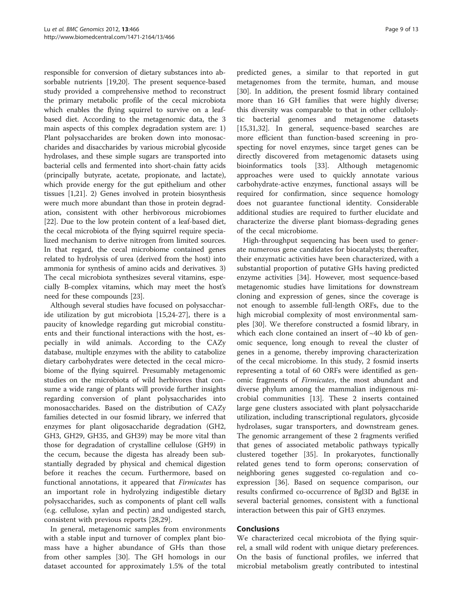responsible for conversion of dietary substances into absorbable nutrients [\[19,20](#page-11-0)]. The present sequence-based study provided a comprehensive method to reconstruct the primary metabolic profile of the cecal microbiota which enables the flying squirrel to survive on a leafbased diet. According to the metagenomic data, the 3 main aspects of this complex degradation system are: 1) Plant polysaccharides are broken down into monosaccharides and disaccharides by various microbial glycoside hydrolases, and these simple sugars are transported into bacterial cells and fermented into short-chain fatty acids (principally butyrate, acetate, propionate, and lactate), which provide energy for the gut epithelium and other tissues [\[1](#page-10-0)[,21\]](#page-11-0). 2) Genes involved in protein biosynthesis were much more abundant than those in protein degradation, consistent with other herbivorous microbiomes [[22](#page-11-0)]. Due to the low protein content of a leaf-based diet, the cecal microbiota of the flying squirrel require specialized mechanism to derive nitrogen from limited sources. In that regard, the cecal microbiome contained genes related to hydrolysis of urea (derived from the host) into ammonia for synthesis of amino acids and derivatives. 3) The cecal microbiota synthesizes several vitamins, especially B-complex vitamins, which may meet the host's need for these compounds [[23](#page-11-0)].

Although several studies have focused on polysaccharide utilization by gut microbiota [\[15,24-27](#page-11-0)], there is a paucity of knowledge regarding gut microbial constituents and their functional interactions with the host, especially in wild animals. According to the CAZy database, multiple enzymes with the ability to catabolize dietary carbohydrates were detected in the cecal microbiome of the flying squirrel. Presumably metagenomic studies on the microbiota of wild herbivores that consume a wide range of plants will provide further insights regarding conversion of plant polysaccharides into monosaccharides. Based on the distribution of CAZy families detected in our fosmid library, we inferred that enzymes for plant oligosaccharide degradation (GH2, GH3, GH29, GH35, and GH39) may be more vital than those for degradation of crystalline cellulose (GH9) in the cecum, because the digesta has already been substantially degraded by physical and chemical digestion before it reaches the cecum. Furthermore, based on functional annotations, it appeared that Firmicutes has an important role in hydrolyzing indigestible dietary polysaccharides, such as components of plant cell walls (e.g. cellulose, xylan and pectin) and undigested starch, consistent with previous reports [[28,29](#page-11-0)].

In general, metagenomic samples from environments with a stable input and turnover of complex plant biomass have a higher abundance of GHs than those from other samples [[30\]](#page-11-0). The GH homologs in our dataset accounted for approximately 1.5% of the total

predicted genes, a similar to that reported in gut metagenomes from the termite, human, and mouse [[30\]](#page-11-0). In addition, the present fosmid library contained more than 16 GH families that were highly diverse; this diversity was comparable to that in other cellulolytic bacterial genomes and metagenome datasets [[15,31,32\]](#page-11-0). In general, sequence-based searches are more efficient than function-based screening in prospecting for novel enzymes, since target genes can be directly discovered from metagenomic datasets using bioinformatics tools [\[33](#page-11-0)]. Although metagenomic approaches were used to quickly annotate various carbohydrate-active enzymes, functional assays will be required for confirmation, since sequence homology does not guarantee functional identity. Considerable additional studies are required to further elucidate and characterize the diverse plant biomass-degrading genes of the cecal microbiome.

High-throughput sequencing has been used to generate numerous gene candidates for biocatalysts; thereafter, their enzymatic activities have been characterized, with a substantial proportion of putative GHs having predicted enzyme activities [\[34\]](#page-11-0). However, most sequence-based metagenomic studies have limitations for downstream cloning and expression of genes, since the coverage is not enough to assemble full-length ORFs, due to the high microbial complexity of most environmental samples [[30\]](#page-11-0). We therefore constructed a fosmid library, in which each clone contained an insert of  $~40$  kb of genomic sequence, long enough to reveal the cluster of genes in a genome, thereby improving characterization of the cecal microbiome. In this study, 2 fosmid inserts representing a total of 60 ORFs were identified as genomic fragments of Firmicutes, the most abundant and diverse phylum among the mammalian indigenous microbial communities [[13](#page-11-0)]. These 2 inserts contained large gene clusters associated with plant polysaccharide utilization, including transcriptional regulators, glycoside hydrolases, sugar transporters, and downstream genes. The genomic arrangement of these 2 fragments verified that genes of associated metabolic pathways typically clustered together [[35\]](#page-11-0). In prokaryotes, functionally related genes tend to form operons; conservation of neighboring genes suggested co-regulation and coexpression [\[36\]](#page-11-0). Based on sequence comparison, our results confirmed co-occurrence of Bgl3D and Bgl3E in several bacterial genomes, consistent with a functional interaction between this pair of GH3 enzymes.

# Conclusions

We characterized cecal microbiota of the flying squirrel, a small wild rodent with unique dietary preferences. On the basis of functional profiles, we inferred that microbial metabolism greatly contributed to intestinal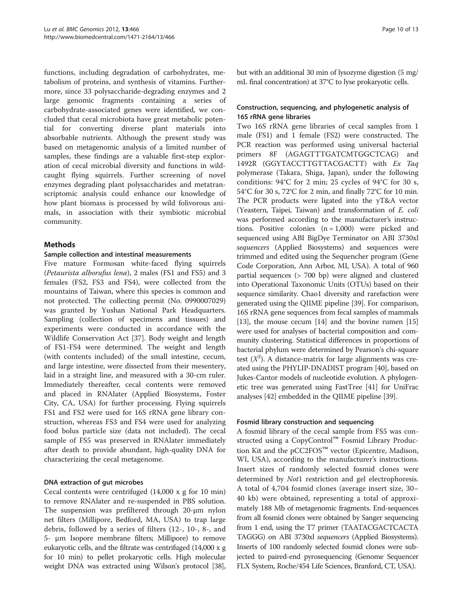functions, including degradation of carbohydrates, metabolism of proteins, and synthesis of vitamins. Furthermore, since 33 polysaccharide-degrading enzymes and 2 large genomic fragments containing a series of carbohydrate-associated genes were identified, we concluded that cecal microbiota have great metabolic potential for converting diverse plant materials into absorbable nutrients. Although the present study was based on metagenomic analysis of a limited number of samples, these findings are a valuable first-step exploration of cecal microbial diversity and functions in wildcaught flying squirrels. Further screening of novel enzymes degrading plant polysaccharides and metatranscriptomic analysis could enhance our knowledge of how plant biomass is processed by wild folivorous animals, in association with their symbiotic microbial community.

# Methods

# Sample collection and intestinal measurements

Five mature Formosan white-faced flying squirrels (Petaurista alborufus lena), 2 males (FS1 and FS5) and 3 females (FS2, FS3 and FS4), were collected from the mountains of Taiwan, where this species is common and not protected. The collecting permit (No. 0990007029) was granted by Yushan National Park Headquarters. Sampling (collection of specimens and tissues) and experiments were conducted in accordance with the Wildlife Conservation Act [\[37](#page-11-0)]. Body weight and length of FS1-FS4 were determined. The weight and length (with contents included) of the small intestine, cecum, and large intestine, were dissected from their mesentery, laid in a straight line, and measured with a 30-cm ruler. Immediately thereafter, cecal contents were removed and placed in RNAlater (Applied Biosystems, Foster City, CA, USA) for further processing. Flying squirrels FS1 and FS2 were used for 16S rRNA gene library construction, whereas FS3 and FS4 were used for analyzing food bolus particle size (data not included). The cecal sample of FS5 was preserved in RNAlater immediately after death to provide abundant, high-quality DNA for characterizing the cecal metagenome.

# DNA extraction of gut microbes

Cecal contents were centrifuged (14,000 x g for 10 min) to remove RNAlater and re-suspended in PBS solution. The suspension was prefiltered through 20-μm nylon net filters (Millipore, Bedford, MA, USA) to trap large debris, followed by a series of filters (12-, 10-, 8-, and 5- μm Isopore membrane filters; Millipore) to remove eukaryotic cells, and the filtrate was centrifuged (14,000 x g for 10 min) to pellet prokaryotic cells. High molecular weight DNA was extracted using Wilson's protocol [[38](#page-11-0)], but with an additional 30 min of lysozyme digestion (5 mg/ mL final concentration) at 37°C to lyse prokaryotic cells.

# Construction, sequencing, and phylogenetic analysis of 16S rRNA gene libraries

Two 16S rRNA gene libraries of cecal samples from 1 male (FS1) and 1 female (FS2) were constructed. The PCR reaction was performed using universal bacterial primers 8F (AGAGTTTGATCMTGGCTCAG) and 1492R (GGYTACCTTGTTACGACTT) with Ex Taq polymerase (Takara, Shiga, Japan), under the following conditions: 94°C for 2 min; 25 cycles of 94°C for 30 s, 54°C for 30 s, 72°C for 2 min, and finally 72°C for 10 min. The PCR products were ligated into the yT&A vector (Yeastern, Taipei, Taiwan) and transformation of E. coli was performed according to the manufacturer's instructions. Positive colonies  $(n = 1,000)$  were picked and sequenced using ABI BigDye Terminator on ABI 3730xl sequencers (Applied Biosystems) and sequences were trimmed and edited using the Sequencher program (Gene Code Corporation, Ann Arbor, MI, USA). A total of 960 partial sequences (> 700 bp) were aligned and clustered into Operational Taxonomic Units (OTUs) based on their sequence similarity. Chao1 diversity and rarefaction were generated using the QIIME pipeline [\[39\]](#page-11-0). For comparison, 16S rRNA gene sequences from fecal samples of mammals [[13](#page-11-0)], the mouse cecum [\[14\]](#page-11-0) and the bovine rumen [[15](#page-11-0)] were used for analyses of bacterial composition and community clustering. Statistical differences in proportions of bacterial phylum were determined by Pearson's chi-square test  $(X^2)$ . A distance-matrix for large alignments was created using the PHYLIP-DNADIST program [\[40](#page-11-0)], based on Jukes-Cantor models of nucleotide evolution. A phylogenetic tree was generated using FastTree [\[41](#page-11-0)] for UniFrac analyses [[42\]](#page-11-0) embedded in the QIIME pipeline [\[39](#page-11-0)].

# Fosmid library construction and sequencing

A fosmid library of the cecal sample from FS5 was constructed using a CopyControl™ Fosmid Library Production Kit and the pCC2FOS™ vector (Epicentre, Madison, WI, USA), according to the manufacturer's instructions. Insert sizes of randomly selected fosmid clones were determined by Not1 restriction and gel electrophoresis. A total of 4,704 fosmid clones (average insert size, 30– 40 kb) were obtained, representing a total of approximately 188 Mb of metagenomic fragments. End-sequences from all fosmid clones were obtained by Sanger sequencing from 1 end, using the T7 primer (TAATACGACTCACTA TAGGG) on ABI 3730xl sequencers (Applied Biosystems). Inserts of 100 randomly selected fosmid clones were subjected to paired-end pyrosequencing (Genome Sequencer FLX System, Roche/454 Life Sciences, Branford, CT, USA).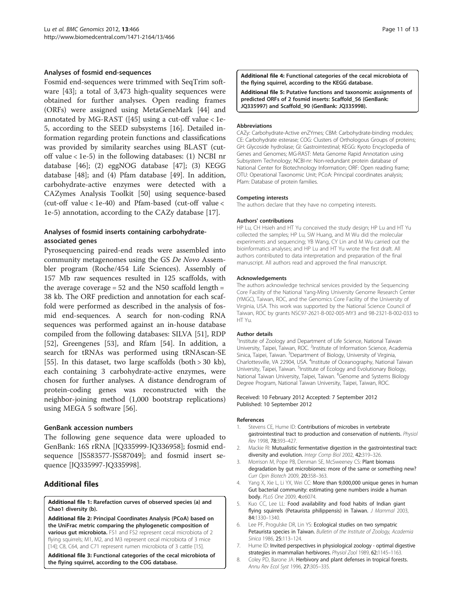# <span id="page-10-0"></span>Analyses of fosmid end-sequences

Fosmid end-sequences were trimmed with SeqTrim software [\[43](#page-11-0)]; a total of 3,473 high-quality sequences were obtained for further analyses. Open reading frames (ORFs) were assigned using MetaGeneMark [[44\]](#page-11-0) and annotated by MG-RAST ( $[45]$  $[45]$  using a cut-off value < 1e-5, according to the SEED subsystems [[16\]](#page-11-0). Detailed information regarding protein functions and classifications was provided by similarity searches using BLAST (cutoff value < 1e-5) in the following databases: (1) NCBI nr database [[46\]](#page-11-0); (2) eggNOG database [[47](#page-11-0)]; (3) KEGG database [\[48](#page-11-0)]; and (4) Pfam database [[49\]](#page-11-0). In addition, carbohydrate-active enzymes were detected with a CAZymes Analysis Toolkit [[50\]](#page-11-0) using sequence-based (cut-off value < 1e-40) and Pfam-based (cut-off value < 1e-5) annotation, according to the CAZy database [\[17\]](#page-11-0).

# Analyses of fosmid inserts containing carbohydrateassociated genes

Pyrosequencing paired-end reads were assembled into community metagenomes using the GS De Novo Assembler program (Roche/454 Life Sciences). Assembly of 157 Mb raw sequences resulted in 125 scaffolds, with the average coverage =  $52$  and the N50 scaffold length = 38 kb. The ORF prediction and annotation for each scaffold were performed as described in the analysis of fosmid end-sequences. A search for non-coding RNA sequences was performed against an in-house database compiled from the following databases: SILVA [[51](#page-11-0)], RDP [[52\]](#page-11-0), Greengenes [\[53](#page-11-0)], and Rfam [\[54](#page-12-0)]. In addition, a search for tRNAs was performed using tRNAscan-SE [[55\]](#page-12-0). In this dataset, two large scaffolds (both > 30 kb), each containing 3 carbohydrate-active enzymes, were chosen for further analyses. A distance dendrogram of protein-coding genes was reconstructed with the neighbor-joining method (1,000 bootstrap replications) using MEGA 5 software [\[56](#page-12-0)].

# GenBank accession numbers

The following gene sequence data were uploaded to GenBank: 16S rRNA [JQ335999-JQ336958]; fosmid endsequence [JS583577-JS587049]; and fosmid insert sequence [JQ335997-JQ335998].

# Additional files

[Additional file 1:](http://www.biomedcentral.com/content/supplementary/1471-2164-13-466-S1.pdf) Rarefaction curves of observed species (a) and Chao1 diversity (b).

[Additional file 2:](http://www.biomedcentral.com/content/supplementary/1471-2164-13-466-S2.pdf) Principal Coordinates Analysis (PCoA) based on the UniFrac metric comparing the phylogenetic composition of various gut microbiota. FS1 and FS2 represent cecal microbiota of 2 flying squirrels; M1, M2, and M3 represent cecal microbiota of 3 mice [14]; C8, C64, and C71 represent rumen microbiota of 3 cattle [15].

[Additional file 3:](http://www.biomedcentral.com/content/supplementary/1471-2164-13-466-S3.pdf) Functional categories of the cecal microbiota of the flying squirrel, according to the COG database.

[Additional file 4:](http://www.biomedcentral.com/content/supplementary/1471-2164-13-466-S4.pdf) Functional categories of the cecal microbiota of the flying squirrel, according to the KEGG database.

[Additional file 5:](http://www.biomedcentral.com/content/supplementary/1471-2164-13-466-S5.pdf) Putative functions and taxonomic assignments of predicted ORFs of 2 fosmid inserts: Scaffold\_56 (GenBank: JQ335997) and Scaffold\_90 (GenBank: JQ335998).

#### **Abbreviations**

CAZy: Carbohydrate-Active enZYmes; CBM: Carbohydrate-binding modules; CE: Carbohydrate esterase; COG: Clusters of Orthologous Groups of proteins; GH: Glycoside hydrolase; GI: Gastrointestinal; KEGG: Kyoto Encyclopedia of Genes and Genomes; MG-RAST: Meta Genome Rapid Annotation using Subsystem Technology; NCBI-nr: Non-redundant protein database of National Center for Biotechnology Information; ORF: Open reading frame; OTU: Operational Taxonomic Unit; PCoA: Principal coordinates analysis; Pfam: Database of protein families.

#### Competing interests

The authors declare that they have no competing interests.

#### Authors' contributions

HP Lu, CH Hsieh and HT Yu conceived the study design; HP Lu and HT Yu collected the samples; HP Lu, SW Huang, and M Wu did the molecular experiments and sequencing; YB Wang, CY Lin and M Wu carried out the bioinformatics analyses; and HP Lu and HT Yu wrote the first draft. All authors contributed to data interpretation and preparation of the final manuscript. All authors read and approved the final manuscript.

#### Acknowledgements

The authors acknowledge technical services provided by the Sequencing Core Facility of the National Yang-Ming University Genome Research Center (YMGC), Taiwan, ROC, and the Genomics Core Facility of the University of Virginia, USA. This work was supported by the National Science Council of Taiwan, ROC by grants NSC97-2621-B-002-005-MY3 and 98-2321-B-002-033 to HT Yu.

#### Author details

<sup>1</sup>Institute of Zoology and Department of Life Science, National Taiwan University, Taipei, Taiwan, ROC. <sup>2</sup>Institute of Information Science, Academia Sinica, Taipei, Taiwan. <sup>3</sup>Department of Biology, University of Virginia Charlottesville, VA 22904, USA. <sup>4</sup>Institute of Oceanography, National Taiwan University, Taipei, Taiwan. <sup>5</sup>Institute of Ecology and Evolutionary Biology, National Taiwan University, Taipei, Taiwan. <sup>6</sup>Genome and Systems Biology Degree Program, National Taiwan University, Taipei, Taiwan, ROC.

#### Received: 10 February 2012 Accepted: 7 September 2012 Published: 10 September 2012

#### References

- 1. Stevens CE, Hume ID: Contributions of microbes in vertebrate gastrointestinal tract to production and conservation of nutrients. Physiol Rev 1998, 78:393–427.
- 2. Mackie RI: Mutualistic fermentative digestion in the gastrointestinal tract: diversity and evolution. Integr Comp Biol 2002, 42:319–326.
- 3. Morrison M, Pope PB, Denman SE, McSweeney CS: Plant biomass degradation by gut microbiomes: more of the same or something new? Curr Opin Biotech 2009, 20:358–363.
- 4. Yang X, Xie L, Li YX, Wei CC: More than 9,000,000 unique genes in human Gut bacterial community: estimating gene numbers inside a human body. PLoS One 2009, 4:e6074.
- 5. Kuo CC, Lee LL: Food availability and food habits of Indian giant flying squirrels (Petaurista philippensis) in Taiwan. J Mammal 2003, 84:1330–1340.
- 6. Lee PF, Progulske DR, Lin YS: Ecological studies on two sympatric Petaurista species in Taiwan. Bulletin of the Institute of Zoology, Academia Sinica 1986, 25:113–124.
- 7. Hume ID: Invited perspectives in physiological zoology optimal digestive strategies in mammalian herbivores. Physiol Zool 1989, 62:1145–1163.
- 8. Coley PD, Barone JA: Herbivory and plant defenses in tropical forests. Annu Rev Ecol Syst 1996, 27:305–335.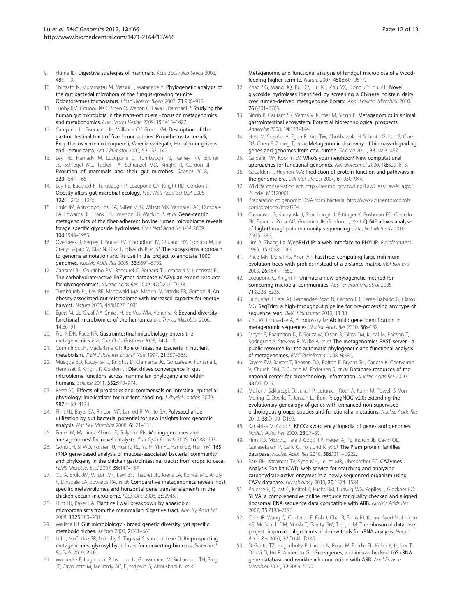- <span id="page-11-0"></span>9. Hume ID: Digestive strategies of mammals. Acta Zoologica Sinica 2002, 48:1–19.
- 10. Shinzato N, Muramatsu M, Matsui T, Watanabe Y: Phylogenetic analysis of the gut bacterial microflora of the fungus-growing termite Odontotermes formosanus. Biosci Biotech Bioch 2007, 71:906–915.
- 11. Tuohy KM, Gougoulias C, Shen Q, Walton G, Fava F, Ramnani P: Studying the human gut microbiota in the trans-omics era - focus on metagenomics and metabonomics. Curr Pharm Design 2009, 15:1415–1427.
- 12. Campbell JL, Eisemann JH, Williams CV, Glenn KM: Description of the gastrointestinal tract of five lemur species: Propithecus tattersalli, Propithecus verreauxi coquereli, Varecia variegata, Hapalemur griseus, and Lemur catta. Am J Primatol 2000, 52:133–142.
- 13. Ley RE, Hamady M, Lozupone C, Turnbaugh PJ, Ramey RR, Bircher JS, Schlegel ML, Tucker TA, Schrenzel MD, Knight R, Gordon JI: Evolution of mammals and their gut microbes. Science 2008, 320:1647–1651.
- 14. Ley RE, Backhed F, Turnbaugh P, Lozupone CA, Knight RD, Gordon JI: Obesity alters gut microbial ecology. Proc Natl Acad Sci USA 2005, 102:11070–11075.
- 15. Brulc JM, Antonopoulos DA, Miller MEB, Wilson MK, Yannarell AC, Dinsdale EA, Edwards RE, Frank ED, Emerson JB, Wacklin P, et al: Gene-centric metagenomics of the fiber-adherent bovine rumen microbiome reveals forage specific glycoside hydrolases. Proc Natl Acad Sci USA 2009, 106:1948–1953.
- 16. Overbeek R, Begley T, Butler RM, Choudhuri JV, Chuang HY, Cohoon M, de Crecy-Lagard V, Diaz N, Disz T, Edwards R, et al: The subsystems approach to genome annotation and its use in the project to annotate 1000 genomes. Nucleic Acids Res 2005, 33:5691–5702.
- 17. Cantarel BL, Coutinho PM, Rancurel C, Bernard T, Lombard V, Henrissat B: The carbohydrate-active EnZymes database (CAZy): an expert resource for glycogenomics. Nucleic Acids Res 2009, 37:D233–D238.
- 18. Turnbaugh PJ, Ley RE, Mahowald MA, Magrini V, Mardis ER, Gordon JI: An obesity-associated gut microbiome with increased capacity for energy harvest. Nature 2006, 444:1027–1031.
- 19. Egert M, de Graaf AA, Smidt H, de Vos WM, Venema K: Beyond diversity: functional microbiomics of the human colon. Trends Microbiol 2006, 14:86–91.
- 20. Frank DN, Pace NR: Gastrointestinal microbiology enters the metagenomics era. Curr Opin Gastroen 2008, 24:4–10.
- 21. Cummings JH, Macfarlane GT: Role of intestinal bacteria in nutrient metabolism. JPEN J Parenter Enteral Nutr 1997, 21:357–365.
- 22. Muegge BD, Kuczynski J, Knights D, Clemente JC, Gonzalez A, Fontana L, Henrissat B, Knight R, Gordon JI: Diet drives convergence in gut microbiome functions across mammalian phylogeny and within humans. Science 2011, 332:970–974.
- 23. Resta SC: Effects of probiotics and commensals on intestinal epithelial physiology: implications for nutrient handling. J Physiol-London 2009, 587:4169–4174.
- 24. Flint HJ, Bayer EA, Rincon MT, Lamed R, White BA: Polysaccharide utilization by gut bacteria: potential for new insights from genomic analysis. Nat Rev Microbiol 2008, 6:121–131.
- 25. Ferrer M, Martinez-Abarca F, Golyshin PN: Mining genomes and 'metagenomes' for novel catalysts. Curr Opin Biotech 2005, 16:588–593.
- 26. Gong JH, Si WD, Forster RJ, Huang RL, Yu H, Yin YL, Yang CB, Han YM: 16S rRNA gene-based analysis of mucosa-associated bacterial community and phylogeny in the chicken gastrointestinal tracts: from crops to ceca. FEMS Microbiol Ecol 2007, 59:147–157.
- 27. Qu A, Brulc JM, Wilson MK, Law BF, Theoret JR, Joens LA, Konkel ME, Angly F, Dinsdale EA, Edwards RA, et al: Comparative metagenomics reveals host specific metavirulomes and horizontal gene transfer elements in the chicken cecum microbiome. PLoS One 2008, 3:e2945.
- 28. Flint HJ, Bayer EA: Plant cell wall breakdown by anaerobic microorganisms from the mammalian digestive tract. Ann Ny Acad Sci 2008, 1125:280–288.
- 29. Wallace RJ: Gut microbiology broad genetic diversity, yet specific metabolic niches. Animal 2008, 2:661–668.
- 30. Li LL, McCorkle SR, Monchy S, Taghavi S, van der Lelie D: Bioprospecting metagenomes: glycosyl hydrolases for converting biomass. Biotechnol Biofuels 2009, 2:10.
- 31. Warnecke F, Luginbuhl P, Ivanova N, Ghassemian M, Richardson TH, Stege JT, Cayouette M, McHardy AC, Djordjevic G, Aboushadi N, et al:

Metagenomic and functional analysis of hindgut microbiota of a woodfeeding higher termite. Nature 2007, 450:560–U517.

- 32. Zhao SG, Wang JQ, Bu DP, Liu KL, Zhu YX, Dong ZY, Yu ZT: Novel glycoside hydrolases identified by screening a Chinese holstein dairy cow rumen-derived metagenome library. Appl Environ Microbiol 2010, 76:6701–6705.
- 33. Singh B, Gautam SK, Verma V, Kumar M, Singh B: Metagenomics in animal gastrointestinal ecosystem: Potential biotechnological prospects. Anaerobe 2008, 14:138–144.
- 34. Hess M, Sczyrba A, Egan R, Kim TW, Chokhawala H, Schroth G, Luo S, Clark DS, Chen F, Zhang T, et al: Metagenomic discovery of biomass-degrading genes and genomes from cow rumen. Science 2011, 331:463–467.
- Galperin MY, Koonin EV: Who's your neighbor? New computational approaches for functional genomics. Nat Biotechnol 2000, 18:609–613.
- 36. Gabaldon T, Huynen MA: Prediction of protein function and pathways in the genome era. Cell Mol Life Sci 2004, 61:930–944.
- 37. Wildlife conservation act. [http://law.moj.gov.tw/Eng/LawClass/LawAll.aspx?](http://law.moj.gov.tw/Eng/LawClass/LawAll.aspx?PCode=M0120001) [PCode=M0120001.](http://law.moj.gov.tw/Eng/LawClass/LawAll.aspx?PCode=M0120001)
- 38. Preparation of genomic DNA from bacteria. [http://www.currentprotocols.](http://www.currentprotocols.com/protocol/mb0204) [com/protocol/mb0204.](http://www.currentprotocols.com/protocol/mb0204)
- 39. Caporaso JG, Kuczynski J, Stombaugh J, Bittinger K, Bushman FD, Costello EK, Fierer N, Pena AG, Goodrich JK, Gordon JI, et al: QIIME allows analysis of high-throughput community sequencing data. Nat Methods 2010, 7:335–336.
- 40. Lim A, Zhang LX: WebPHYLIP: a web interface to PHYLIP. Bioinformatics 1999, 15:1068–1069.
- 41. Price MN, Dehal PS, Arkin AP: FastTree: computing large minimum evolution trees with profiles instead of a distance matrix. Mol Biol Evol 2009, 26:1641–1650.
- 42. Lozupone C, Knight R: UniFrac: a new phylogenetic method for comparing microbial communities. Appl Environ Microbiol 2005, 71:8228–8235.
- 43. Falgueras J, Lara AJ, Fernandez-Pozo N, Canton FR, Perez-Trabado G, Claros MG: SeqTrim: a high-throughput pipeline for pre-processing any type of sequence read. BMC Bioinforma 2010, 11:38.
- 44. Zhu W, Lomsadze A, Borodovsky M: Ab initio gene identification in metagenomic sequences. Nucleic Acids Res 2010, 38:e132.
- 45. Meyer F, Paarmann D, D'Souza M, Olson R, Glass EM, Kubal M, Paczian T, Rodriguez A, Stevens R, Wilke A, et al: The metagenomics RAST server - a public resource for the automatic phylogenetic and functional analysis of metagenomes. BMC Bioinforma 2008, 9:386.
- 46. Sayers EW, Barrett T, Benson DA, Bolton E, Bryant SH, Canese K, Chetvernin V, Church DM, DiCuccio M, Federhen S, et al: Database resources of the national center for biotechnology information. Nucleic Acids Res 2010, 38:D5–D16.
- 47. Muller J, Szklarczyk D, Julien P, Letunic I, Roth A, Kuhn M, Powell S, Von Mering C, Doerks T, Jensen LJ, Bork P: eggNOG v2.0: extending the evolutionary genealogy of genes with enhanced non-supervised orthologous groups, species and functional annotations. Nucleic Acids Res 2010, 38:D190–D195.
- 48. Kanehisa M, Goto S: KEGG: kyoto encyclopedia of genes and genomes. Nucleic Acids Res 2000, 28:27–30.
- 49. Finn RD, Mistry J, Tate J, Coggill P, Heger A, Pollington JE, Gavin OL, Gunasekaran P, Ceric G, Forslund K, et al: The Pfam protein families database. Nucleic Acids Res 2010, 38:D211–D222.
- 50. Park BH, Karpinets TV, Syed MH, Leuze MR, Uberbacher EC: CAZymes Analysis Toolkit (CAT): web service for searching and analyzing carbohydrate-active enzymes in a newly sequenced organism using CAZy database. Glycobiology 2010, 20:1574–1584.
- 51. Pruesse E, Quast C, Knittel K, Fuchs BM, Ludwig WG, Peplies J, Glockner FO: SILVA: a comprehensive online resource for quality checked and aligned ribosomal RNA sequence data compatible with ARB. Nucleic Acids Res 2007, 35:7188–7196.
- 52. Cole JR, Wang Q, Cardenas E, Fish J, Chai B, Farris RJ, Kulam-Syed-Mohideen AS, McGarrell DM, Marsh T, Garrity GM, Tiedje JM: The ribosomal database project: improved alignments and new tools for rRNA analysis. Nucleic Acids Res 2009, 37:D141–D145.
- 53. DeSantis TZ, Hugenholtz P, Larsen N, Rojas M, Brodie EL, Keller K, Huber T, Dalevi D, Hu P, Andersen GL: Greengenes, a chimera-checked 16S rRNA gene database and workbench compatible with ARB. Appl Environ Microbiol 2006, 72:5069–5072.